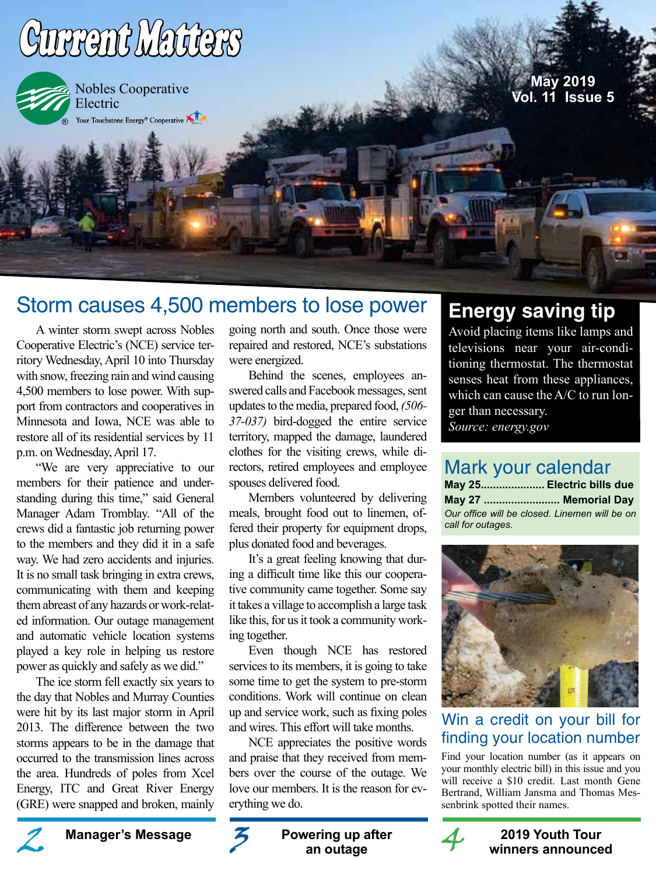

# Storm causes 4,500 members to lose power

A winter storm swept across Nobles Cooperative Electric's (NCE) service territory Wednesday, April 10 into Thursday with snow, freezing rain and wind causing 4,500 members to lose power. With support from contractors and cooperatives in Minnesota and Iowa, NCE was able to restore all of its residential services by 11 p.m. on Wednesday, April 17.

"We are very appreciative to our members for their patience and understanding during this time," said General Manager Adam Tromblay. "All of the crews did a fantastic job returning power to the members and they did it in a safe way. We had zero accidents and injuries. It is no small task bringing in extra crews, communicating with them and keeping them abreast of any hazards or work-related information. Our outage management and automatic vehicle location systems played a key role in helping us restore power as quickly and safely as we did."

The ice storm fell exactly six years to the day that Nobles and Murray Counties were hit by its last major storm in April 2013. The difference between the two storms appears to be in the damage that occurred to the transmission lines across the area. Hundreds of poles from Xcel Energy, ITC and Great River Energy (GRE) were snapped and broken, mainly

going north and south. Once those were repaired and restored, NCE's substations were energized.

Behind the scenes, employees answered calls and Facebook messages, sent updates to the media, prepared food, *(506- 37-037)* bird-dogged the entire service territory, mapped the damage, laundered clothes for the visiting crews, while directors, retired employees and employee spouses delivered food.

Members volunteered by delivering meals, brought food out to linemen, offered their property for equipment drops, plus donated food and beverages.

It's a great feeling knowing that during a difficult time like this our cooperative community came together. Some say it takes a village to accomplish a large task like this, for us it took a community working together.

Even though NCE has restored services to its members, it is going to take some time to get the system to pre-storm conditions. Work will continue on clean up and service work, such as fixing poles and wires. This effort will take months.

NCE appreciates the positive words and praise that they received from members over the course of the outage. We love our members. It is the reason for everything we do.

# **Energy saving tip**

Avoid placing items like lamps and televisions near your air-conditioning thermostat. The thermostat senses heat from these appliances, which can cause the A/C to run longer than necessary. *Source: energy.gov*

# Mark your calendar

| May 25 Electric bills due                     |
|-----------------------------------------------|
| <b>May 27  Memorial Day</b>                   |
| Our office will be closed. Linemen will be on |
|                                               |



## Win a credit on your bill for finding your location number

Find your location number (as it appears on your monthly electric bill) in this issue and you will receive a \$10 credit. Last month Gene Bertrand, William Jansma and Thomas Messenbrink spotted their names.



#### **Manager's Message 2019 Youth Tour winners announced**





**Powering up after an outage** Manager's Message **2** Powering up after 4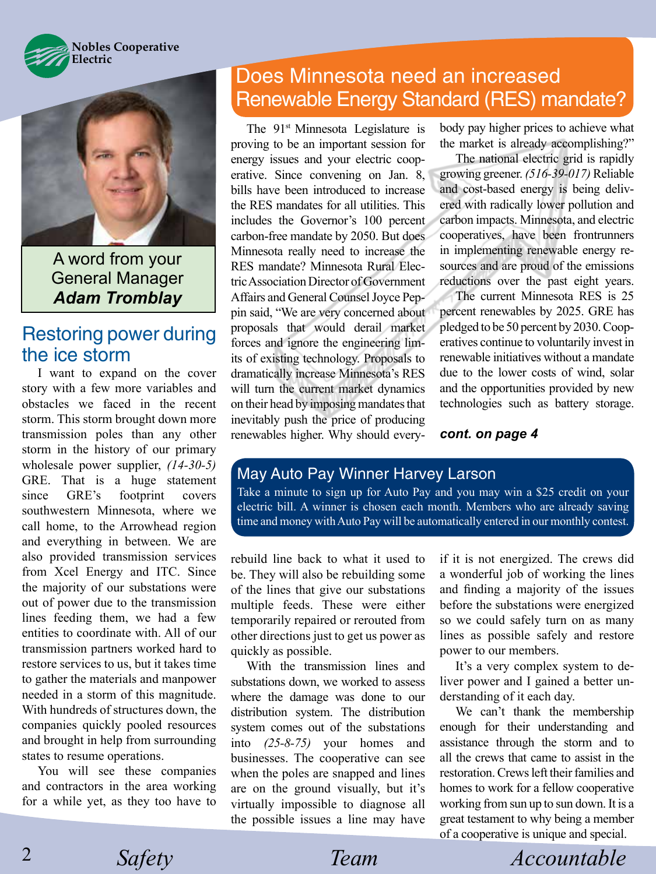



A word from your General Manager *Adam Tromblay*

# Restoring power during the ice storm

I want to expand on the cover story with a few more variables and obstacles we faced in the recent storm. This storm brought down more transmission poles than any other storm in the history of our primary wholesale power supplier, *(14-30-5)* GRE. That is a huge statement since GRE's footprint covers southwestern Minnesota, where we call home, to the Arrowhead region and everything in between. We are also provided transmission services from Xcel Energy and ITC. Since the majority of our substations were out of power due to the transmission lines feeding them, we had a few entities to coordinate with. All of our transmission partners worked hard to restore services to us, but it takes time to gather the materials and manpower needed in a storm of this magnitude. With hundreds of structures down, the companies quickly pooled resources and brought in help from surrounding states to resume operations.

You will see these companies and contractors in the area working for a while yet, as they too have to

# Does Minnesota need an increased Renewable Energy Standard (RES) mandate?

The 91<sup>st</sup> Minnesota Legislature is proving to be an important session for energy issues and your electric cooperative. Since convening on Jan. 8, bills have been introduced to increase the RES mandates for all utilities. This includes the Governor's 100 percent carbon-free mandate by 2050. But does Minnesota really need to increase the RES mandate? Minnesota Rural Electric Association Director of Government Affairs and General Counsel Joyce Peppin said, "We are very concerned about proposals that would derail market forces and ignore the engineering limits of existing technology. Proposals to dramatically increase Minnesota's RES will turn the current market dynamics on their head by imposing mandates that inevitably push the price of producing renewables higher. Why should everybody pay higher prices to achieve what the market is already accomplishing?"

The national electric grid is rapidly growing greener. *(516-39-017)* Reliable and cost-based energy is being delivered with radically lower pollution and carbon impacts. Minnesota, and electric cooperatives, have been frontrunners in implementing renewable energy resources and are proud of the emissions reductions over the past eight years.

The current Minnesota RES is 25 percent renewables by 2025. GRE has pledged to be 50 percent by 2030. Cooperatives continue to voluntarily invest in renewable initiatives without a mandate due to the lower costs of wind, solar and the opportunities provided by new technologies such as battery storage.

*cont. on page 4*

## May Auto Pay Winner Harvey Larson

Take a minute to sign up for Auto Pay and you may win a \$25 credit on your electric bill. A winner is chosen each month. Members who are already saving time and money with Auto Pay will be automatically entered in our monthly contest.

rebuild line back to what it used to be. They will also be rebuilding some of the lines that give our substations multiple feeds. These were either temporarily repaired or rerouted from other directions just to get us power as quickly as possible.

With the transmission lines and substations down, we worked to assess where the damage was done to our distribution system. The distribution system comes out of the substations into *(25-8-75)* your homes and businesses. The cooperative can see when the poles are snapped and lines are on the ground visually, but it's virtually impossible to diagnose all the possible issues a line may have if it is not energized. The crews did a wonderful job of working the lines and finding a majority of the issues before the substations were energized so we could safely turn on as many lines as possible safely and restore power to our members.

It's a very complex system to deliver power and I gained a better understanding of it each day.

We can't thank the membership enough for their understanding and assistance through the storm and to all the crews that came to assist in the restoration. Crews left their families and homes to work for a fellow cooperative working from sun up to sun down. It is a great testament to why being a member of a cooperative is unique and special.

*Safety Team Accountable*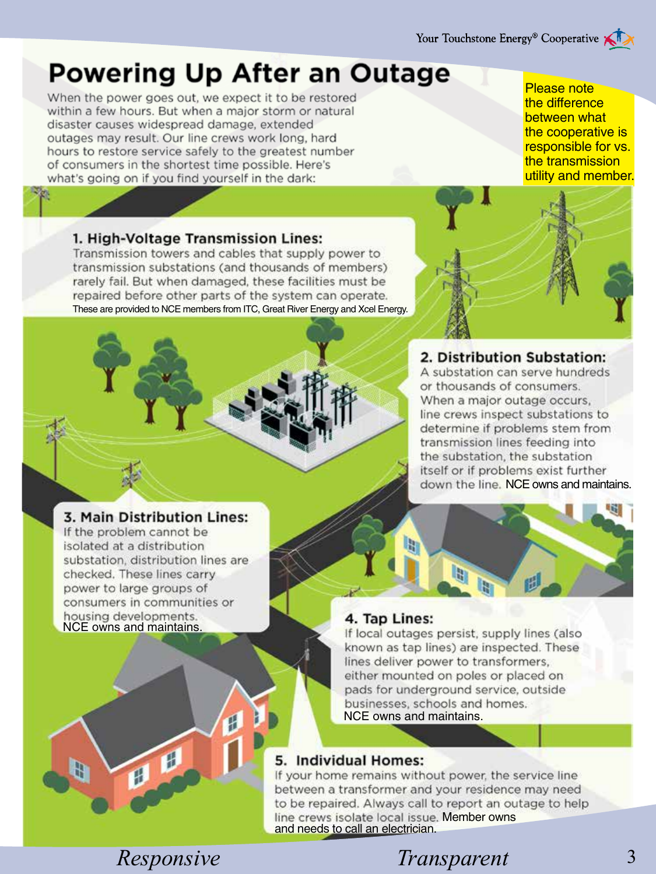# **Powering Up After an Outage**

When the power goes out, we expect it to be restored within a few hours. But when a major storm or natural disaster causes widespread damage, extended outages may result. Our line crews work long, hard hours to restore service safely to the greatest number of consumers in the shortest time possible. Here's what's going on if you find yourself in the dark:

Please note the difference between what the cooperative is responsible for vs. the transmission utility and member.

#### 1. High-Voltage Transmission Lines:

Transmission towers and cables that supply power to transmission substations (and thousands of members) rarely fail. But when damaged, these facilities must be repaired before other parts of the system can operate. These are provided to NCE members from ITC, Great River Energy and Xcel Energy.



### 2. Distribution Substation:

A substation can serve hundreds or thousands of consumers. When a major outage occurs, line crews inspect substations to determine if problems stem from transmission lines feeding into the substation, the substation itself or if problems exist further down the line. NCE owns and maintains.

#### 3. Main Distribution Lines:

If the problem cannot be isolated at a distribution substation, distribution lines are checked. These lines carry power to large groups of consumers in communities or housing developments.<br>NCE owns and maintains.



#### 4. Tap Lines:

If local outages persist, supply lines (also known as tap lines) are inspected. These lines deliver power to transformers, either mounted on poles or placed on pads for underground service, outside businesses, schools and homes. NCE owns and maintains.

#### 5. Individual Homes:

If your home remains without power, the service line between a transformer and your residence may need to be repaired. Always call to report an outage to help line crews isolate local issue. Member owns and needs to call an electrician.

 $\mathbf{H}$ 

 $\mathbf{d}$ 

Ð

Æ

# *Responsive Safety Transparent* 3